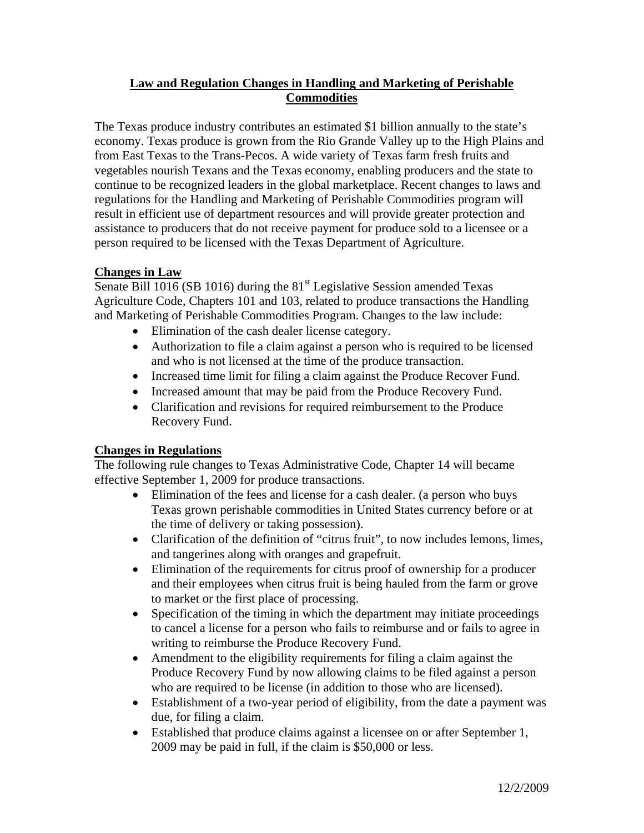## **Law and Regulation Changes in Handling and Marketing of Perishable Commodities**

The Texas produce industry contributes an estimated \$1 billion annually to the state's economy. Texas produce is grown from the Rio Grande Valley up to the High Plains and from East Texas to the Trans-Pecos. A wide variety of Texas farm fresh fruits and vegetables nourish Texans and the Texas economy, enabling producers and the state to continue to be recognized leaders in the global marketplace. Recent changes to laws and regulations for the Handling and Marketing of Perishable Commodities program will result in efficient use of department resources and will provide greater protection and assistance to producers that do not receive payment for produce sold to a licensee or a person required to be licensed with the Texas Department of Agriculture.

## **Changes in Law**

Senate Bill  $\overline{1016}$  (SB 1016) during the 81<sup>st</sup> Legislative Session amended Texas Agriculture Code, Chapters 101 and 103, related to produce transactions the Handling and Marketing of Perishable Commodities Program. Changes to the law include:

- Elimination of the cash dealer license category.
- Authorization to file a claim against a person who is required to be licensed and who is not licensed at the time of the produce transaction.
- Increased time limit for filing a claim against the Produce Recover Fund.
- Increased amount that may be paid from the Produce Recovery Fund.
- Clarification and revisions for required reimbursement to the Produce Recovery Fund.

## **Changes in Regulations**

The following rule changes to Texas Administrative Code, Chapter 14 will became effective September 1, 2009 for produce transactions.

- Elimination of the fees and license for a cash dealer. (a person who buys Texas grown perishable commodities in United States currency before or at the time of delivery or taking possession).
- Clarification of the definition of "citrus fruit", to now includes lemons, limes, and tangerines along with oranges and grapefruit.
- Elimination of the requirements for citrus proof of ownership for a producer and their employees when citrus fruit is being hauled from the farm or grove to market or the first place of processing.
- Specification of the timing in which the department may initiate proceedings to cancel a license for a person who fails to reimburse and or fails to agree in writing to reimburse the Produce Recovery Fund.
- Amendment to the eligibility requirements for filing a claim against the Produce Recovery Fund by now allowing claims to be filed against a person who are required to be license (in addition to those who are licensed).
- Establishment of a two-year period of eligibility, from the date a payment was due, for filing a claim.
- Established that produce claims against a licensee on or after September 1, 2009 may be paid in full, if the claim is \$50,000 or less.